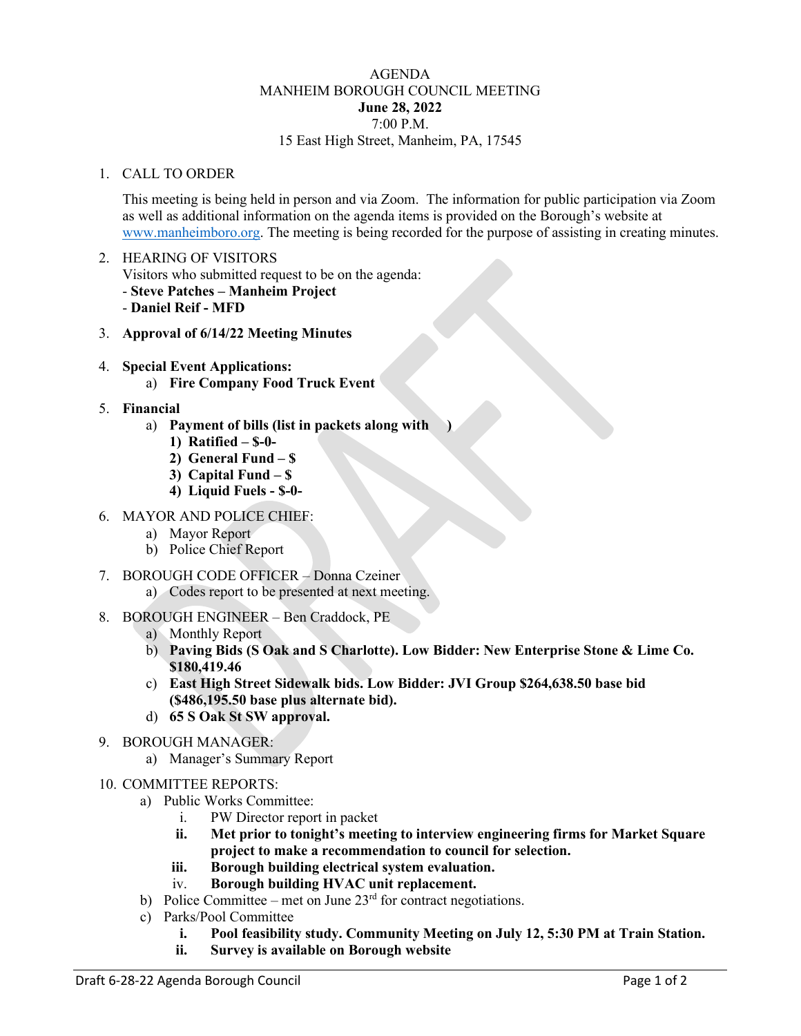## AGENDA MANHEIM BOROUGH COUNCIL MEETING **June 28, 2022** 7:00 P.M. 15 East High Street, Manheim, PA, 17545

## 1. CALL TO ORDER

This meeting is being held in person and via Zoom. The information for public participation via Zoom as well as additional information on the agenda items is provided on the Borough's website at [www.manheimboro.org.](http://www.manheimboro.org/) The meeting is being recorded for the purpose of assisting in creating minutes.

- 2. HEARING OF VISITORS Visitors who submitted request to be on the agenda: - **Steve Patches – Manheim Project** - **Daniel Reif - MFD**
- 3. **Approval of 6/14/22 Meeting Minutes**
- 4. **Special Event Applications:**
	- a) **Fire Company Food Truck Event**
- 5. **Financial**
	- a) **Payment of bills (list in packets along with )**
		- **1) Ratified – \$-0-**
		- **2) General Fund – \$**
		- **3) Capital Fund – \$**
		- **4) Liquid Fuels - \$-0-**
- 6. MAYOR AND POLICE CHIEF:
	- a) Mayor Report
	- b) Police Chief Report
- 7. BOROUGH CODE OFFICER Donna Czeiner
	- a) Codes report to be presented at next meeting.
- 8. BOROUGH ENGINEER Ben Craddock, PE
	- a) Monthly Report
	- b) **Paving Bids (S Oak and S Charlotte). Low Bidder: New Enterprise Stone & Lime Co. \$180,419.46**
	- c) **East High Street Sidewalk bids. Low Bidder: JVI Group \$264,638.50 base bid (\$486,195.50 base plus alternate bid).**
	- d) **65 S Oak St SW approval.**
- 9. BOROUGH MANAGER:
	- a) Manager's Summary Report
- 10. COMMITTEE REPORTS:
	- a) Public Works Committee:
		- i. PW Director report in packet
		- **ii. Met prior to tonight's meeting to interview engineering firms for Market Square project to make a recommendation to council for selection.**
		- **iii. Borough building electrical system evaluation.**
		- iv. **Borough building HVAC unit replacement.**
	- b) Police Committee met on June  $23<sup>rd</sup>$  for contract negotiations.
	- c) Parks/Pool Committee
		- **i. Pool feasibility study. Community Meeting on July 12, 5:30 PM at Train Station.**
		- **ii. Survey is available on Borough website**